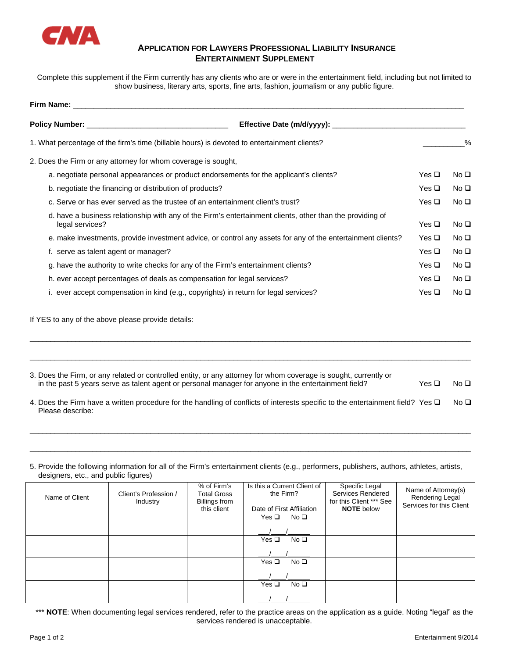

## **APPLICATION FOR LAWYERS PROFESSIONAL LIABILITY INSURANCE ENTERTAINMENT SUPPLEMENT**

Complete this supplement if the Firm currently has any clients who are or were in the entertainment field, including but not limited to show business, literary arts, sports, fine arts, fashion, journalism or any public figure.

| Firm Name: The contract of the contract of the contract of the contract of the contract of the contract of the               |               |                 |  |
|------------------------------------------------------------------------------------------------------------------------------|---------------|-----------------|--|
| Policy Number: National Policy Number:<br>Effective Date (m/d/yyyy):                                                         |               |                 |  |
| 1. What percentage of the firm's time (billable hours) is devoted to entertainment clients?                                  |               | $\%$            |  |
| 2. Does the Firm or any attorney for whom coverage is sought,                                                                |               |                 |  |
| a. negotiate personal appearances or product endorsements for the applicant's clients?                                       | Yes $\square$ | No <sub>Q</sub> |  |
| b. negotiate the financing or distribution of products?                                                                      | Yes $\Box$    | No <sub>Q</sub> |  |
| c. Serve or has ever served as the trustee of an entertainment client's trust?                                               | Yes $\Box$    | No <sub>Q</sub> |  |
| d. have a business relationship with any of the Firm's entertainment clients, other than the providing of<br>legal services? | Yes $\square$ | No <sub>D</sub> |  |
| e. make investments, provide investment advice, or control any assets for any of the entertainment clients?                  | Yes $\square$ | No <sub>Q</sub> |  |
| f. serve as talent agent or manager?                                                                                         | Yes $\Box$    | No <sub>Q</sub> |  |
| g. have the authority to write checks for any of the Firm's entertainment clients?                                           | Yes $\Box$    | No <sub>Q</sub> |  |
| h. ever accept percentages of deals as compensation for legal services?                                                      | Yes $\Box$    | No <sub>D</sub> |  |
| ever accept compensation in kind (e.g., copyrights) in return for legal services?                                            | Yes $\Box$    | No <sub>D</sub> |  |

If YES to any of the above please provide details:

| 3. Does the Firm, or any related or controlled entity, or any attorney for whom coverage is sought, currently or<br>in the past 5 years serve as talent agent or personal manager for anyone in the entertainment field? | Yes □ | No $\square$ |
|--------------------------------------------------------------------------------------------------------------------------------------------------------------------------------------------------------------------------|-------|--------------|
| 4. Does the Firm have a written procedure for the handling of conflicts of interests specific to the entertainment field? Yes $\square$<br>Please describe:                                                              |       | No □         |
|                                                                                                                                                                                                                          |       |              |

\_\_\_\_\_\_\_\_\_\_\_\_\_\_\_\_\_\_\_\_\_\_\_\_\_\_\_\_\_\_\_\_\_\_\_\_\_\_\_\_\_\_\_\_\_\_\_\_\_\_\_\_\_\_\_\_\_\_\_\_\_\_\_\_\_\_\_\_\_\_\_\_\_\_\_\_\_\_\_\_\_\_\_\_\_\_\_\_\_\_\_\_\_\_\_\_\_\_\_\_\_\_\_\_\_\_

5. Provide the following information for all of the Firm's entertainment clients (e.g., performers, publishers, authors, athletes, artists, designers, etc., and public figures)

\_\_\_\_\_\_\_\_\_\_\_\_\_\_\_\_\_\_\_\_\_\_\_\_\_\_\_\_\_\_\_\_\_\_\_\_\_\_\_\_\_\_\_\_\_\_\_\_\_\_\_\_\_\_\_\_\_\_\_\_\_\_\_\_\_\_\_\_\_\_\_\_\_\_\_\_\_\_\_\_\_\_\_\_\_\_\_\_\_\_\_\_\_\_\_\_\_\_\_\_\_\_\_\_\_\_

| Name of Client | Client's Profession /<br>Industry | % of Firm's<br><b>Total Gross</b><br><b>Billings from</b><br>this client | Is this a Current Client of<br>the Firm?<br>Date of First Affiliation | Specific Legal<br>Services Rendered<br>for this Client *** See<br><b>NOTE</b> below | Name of Attorney(s)<br>Rendering Legal<br>Services for this Client |
|----------------|-----------------------------------|--------------------------------------------------------------------------|-----------------------------------------------------------------------|-------------------------------------------------------------------------------------|--------------------------------------------------------------------|
|                |                                   |                                                                          | Yes $\Box$<br>No <sub>Q</sub>                                         |                                                                                     |                                                                    |
|                |                                   |                                                                          |                                                                       |                                                                                     |                                                                    |
|                |                                   |                                                                          | No <sub>Q</sub><br>Yes $\Box$                                         |                                                                                     |                                                                    |
|                |                                   |                                                                          |                                                                       |                                                                                     |                                                                    |
|                |                                   |                                                                          | No <sub>Q</sub><br>$Yes \Box$                                         |                                                                                     |                                                                    |
|                |                                   |                                                                          |                                                                       |                                                                                     |                                                                    |
|                |                                   |                                                                          | No <sub>Q</sub><br>$Yes \Box$                                         |                                                                                     |                                                                    |
|                |                                   |                                                                          |                                                                       |                                                                                     |                                                                    |

\*\*\* **NOTE**: When documenting legal services rendered, refer to the practice areas on the application as a guide. Noting "legal" as the services rendered is unacceptable.